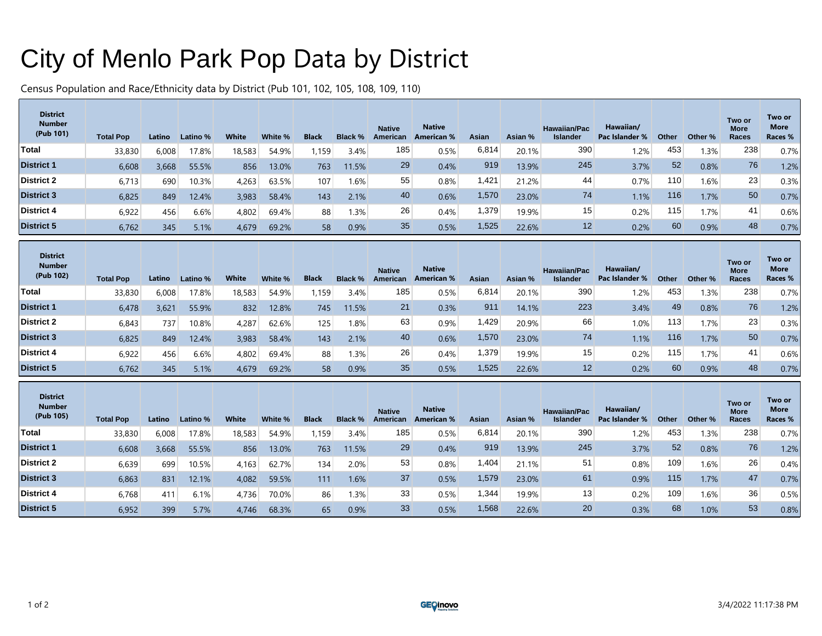## City of Menlo Park Pop Data by District

Census Population and Race/Ethnicity data by District (Pub 101, 102, 105, 108, 109, 110)

| <b>District</b><br><b>Number</b><br>(Pub 101) | <b>Total Pop</b> | Latino | Latino % | <b>White</b> | White % | <b>Black</b> | <b>Black %</b> | <b>Native</b><br>American | <b>Native</b><br><b>American %</b> | Asian | Asian % | <b>Hawaiian/Pac</b><br><b>Islander</b> | Hawaiian/<br>Pac Islander % | Other | Other % | Two or<br><b>More</b><br>Races | Two or<br><b>More</b><br>Races % |
|-----------------------------------------------|------------------|--------|----------|--------------|---------|--------------|----------------|---------------------------|------------------------------------|-------|---------|----------------------------------------|-----------------------------|-------|---------|--------------------------------|----------------------------------|
| <b>Total</b>                                  | 33,830           | 6,008  | 17.8%    | 18,583       | 54.9%   | .159         | 3.4%           | 185                       | 0.5%                               | 6,814 | 20.1%   | 390                                    | 1.2%                        | 453   | 1.3%    | 238                            | 0.7%                             |
| <b>District 1</b>                             | 6,608            | 3,668  | 55.5%    | 856          | 13.0%   | 763          | 11.5%          | 29                        | 0.4%                               | 919   | 13.9%   | 245                                    | 3.7%                        | 52    | 0.8%    | 76                             | .2%                              |
| <b>District 2</b>                             | 6,713            | 690    | 10.3%    | 4,263        | 63.5%   | 107          | 1.6%           | 55                        | 0.8%                               | .421  | 21.2%   | 44                                     | 0.7%                        | 110   | 1.6%    | 23                             | 0.3%                             |
| <b>District 3</b>                             | 6,825            | 849    | 12.4%    | 3,983        | 58.4%   | 143          | 2.1%           | 40                        | 0.6%                               | 1,570 | 23.0%   | 74                                     | 1.1%                        | 116   | 1.7%    | 50                             | 0.7%                             |
| <b>District 4</b>                             | 6,922            | 456    | 6.6%     | 4,802        | 69.4%   | 88           | 1.3%           | 26                        | 0.4%                               | 1,379 | 19.9%   | 15                                     | 0.2%                        | 115   | 1.7%    | 41                             | 0.6%                             |
| <b>District 5</b>                             | 6,762            | 345    | 5.1%     | 4,679        | 69.2%   | 58           | 0.9%           | 35                        | 0.5%                               | 1,525 | 22.6%   | 12                                     | 0.2%                        | 60    | 0.9%    | 48                             | 0.7%                             |

| <b>District</b><br><b>Number</b><br>(Pub 102) | <b>Total Pop</b> | Latino | Latino % | <b>White</b> | White % | <b>Black</b> | <b>Black %</b> | <b>Native</b><br>American | <b>Native</b><br><b>American %</b> | Asian | Asian % | <b>Hawaiian/Pac</b><br><b>Islander</b> | Hawaiian/<br>Pac Islander % | Other | Other % | Two or<br><b>More</b><br>Races | Two or<br><b>More</b><br>Races % |
|-----------------------------------------------|------------------|--------|----------|--------------|---------|--------------|----------------|---------------------------|------------------------------------|-------|---------|----------------------------------------|-----------------------------|-------|---------|--------------------------------|----------------------------------|
| Total                                         | 33,830           | 6,008  | 17.8%    | 18,583       | 54.9%   | ,159         | 3.4%           | 185                       | 0.5%                               | 6,814 | 20.1%   | 390                                    | 1.2%                        | 453   | $1.3\%$ | 238                            | 0.7%                             |
| <b>District 1</b>                             | 6,478            | 3,621  | 55.9%    | 832          | 12.8%   | 745          | 11.5%          | 21                        | 0.3%                               | 911   | 14.1%   | 223                                    | 3.4%                        | 49    | 0.8%    | 76                             | 1.2%                             |
| <b>District 2</b>                             | 6,843            | 737    | $10.8\%$ | 4,287        | 62.6%   | 125          | 1.8%           | 63                        | 0.9%                               | ,429  | 20.9%   | 66                                     | 1.0%                        | 113   | $1.7\%$ | 23                             | 0.3%                             |
| <b>District 3</b>                             | 6,825            | 849    | 12.4%    | 3,983        | 58.4%   | 143          | 2.1%           | 40                        | 0.6%                               | ,570  | 23.0%   | 74                                     | 1.1%                        | 116   | 1.7%    | 50                             | 0.7%                             |
| <b>District 4</b>                             | 6,922            | 456    | 6.6%     | 4,802        | 69.4%   | 88           | 1.3%           | 26                        | 0.4%                               | .379  | 19.9%   | 15                                     | 0.2%                        | 115   | 1.7%    | 41                             | 0.6%                             |
| <b>District 5</b>                             | 6,762            | 345    | 5.1%     | 4,679        | 69.2%   | 58           | 0.9%           | 35                        | 0.5%                               | ,525  | 22.6%   | 12                                     | 0.2%                        | 60    | 0.9%    | 48                             | 0.7%                             |

| <b>District</b><br><b>Number</b><br>(Pub 105) | <b>Total Pop</b> | Latino | Latino % | <b>White</b> | White % | <b>Black</b> | <b>Black %</b> | <b>Native</b><br>American | <b>Native</b><br><b>American %</b> | Asian | Asian % | <b>Hawaiian/Pac</b><br><b>Islander</b> | Hawaiian/<br>Pac Islander % | Other | Other % | Two or<br><b>More</b><br>Races | Two or<br><b>More</b><br>Races % |
|-----------------------------------------------|------------------|--------|----------|--------------|---------|--------------|----------------|---------------------------|------------------------------------|-------|---------|----------------------------------------|-----------------------------|-------|---------|--------------------------------|----------------------------------|
| Total                                         | 33,830           | 6,008  | 17.8%    | 18,583       | 54.9%   | ,159         | 3.4%           | 185.                      | 0.5%                               | 6,814 | 20.1%   | 390                                    | 1.2%                        | 453   | 1.3%    | 238                            | 0.7%                             |
| <b>District 1</b>                             | 6,608            | 3,668  | 55.5%    | 856          | 13.0%   | 763          | 11.5%          | 29                        | 0.4%                               | 919   | 13.9%   | 245                                    | 3.7%                        | 52    | 0.8%    | 76                             | 1.2%                             |
| District 2                                    | 6,639            | 699    | 10.5%    | 4,163        | 62.7%   | 134          | 2.0%           | 53                        | 0.8%                               | .404  | 21.1%   | 51                                     | 0.8%                        | 109   | 1.6%    | 26                             | 0.4%                             |
| <b>District 3</b>                             | 6,863            | 831    | 12.1%    | 4,082        | 59.5%   | 111          | 1.6%           | 37                        | 0.5%                               | 1,579 | 23.0%   | 61                                     | 0.9%                        | 115   | 1.7%    | 47                             | 0.7%                             |
| District 4                                    | 6,768            | 411    | 6.1%     | 4,736        | 70.0%   | 86           | 1.3%           | 33                        | 0.5%                               | 344   | 19.9%   | 13                                     | 0.2%                        | 109   | 1.6%    | 36                             | 0.5%                             |
| <b>District 5</b>                             | 6,952            | 399    | 5.7%     | 4,746        | 68.3%   | 65           | 0.9%           | 33                        | 0.5%                               | 1,568 | 22.6%   | 20                                     | 0.3%                        | 68    | 1.0%    | 53                             | 0.8%                             |